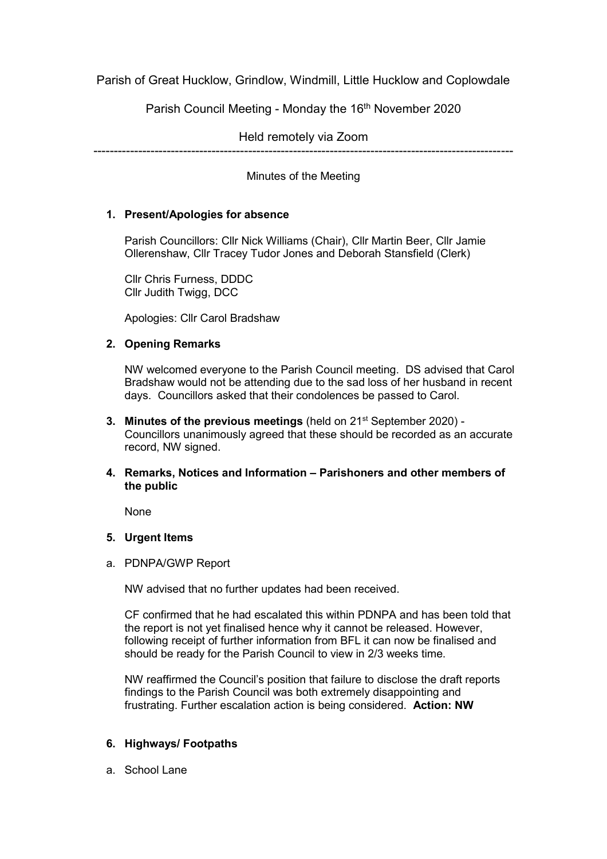Parish of Great Hucklow, Grindlow, Windmill, Little Hucklow and Coplowdale

Parish Council Meeting - Monday the 16<sup>th</sup> November 2020

Held remotely via Zoom

-------------------------------------------------------------------------------------------------------

Minutes of the Meeting

## **1. Present/Apologies for absence**

Parish Councillors: Cllr Nick Williams (Chair), Cllr Martin Beer, Cllr Jamie Ollerenshaw, Cllr Tracey Tudor Jones and Deborah Stansfield (Clerk)

Cllr Chris Furness, DDDC Cllr Judith Twigg, DCC

Apologies: Cllr Carol Bradshaw

## **2. Opening Remarks**

NW welcomed everyone to the Parish Council meeting. DS advised that Carol Bradshaw would not be attending due to the sad loss of her husband in recent days. Councillors asked that their condolences be passed to Carol.

- **3. Minutes of the previous meetings** (held on 21<sup>st</sup> September 2020) -Councillors unanimously agreed that these should be recorded as an accurate record, NW signed.
- **4. Remarks, Notices and Information – Parishoners and other members of the public**

None

## **5. Urgent Items**

a. PDNPA/GWP Report

NW advised that no further updates had been received.

CF confirmed that he had escalated this within PDNPA and has been told that the report is not yet finalised hence why it cannot be released. However, following receipt of further information from BFL it can now be finalised and should be ready for the Parish Council to view in 2/3 weeks time.

NW reaffirmed the Council's position that failure to disclose the draft reports findings to the Parish Council was both extremely disappointing and frustrating. Further escalation action is being considered. **Action: NW**

## **6. Highways/ Footpaths**

a. School Lane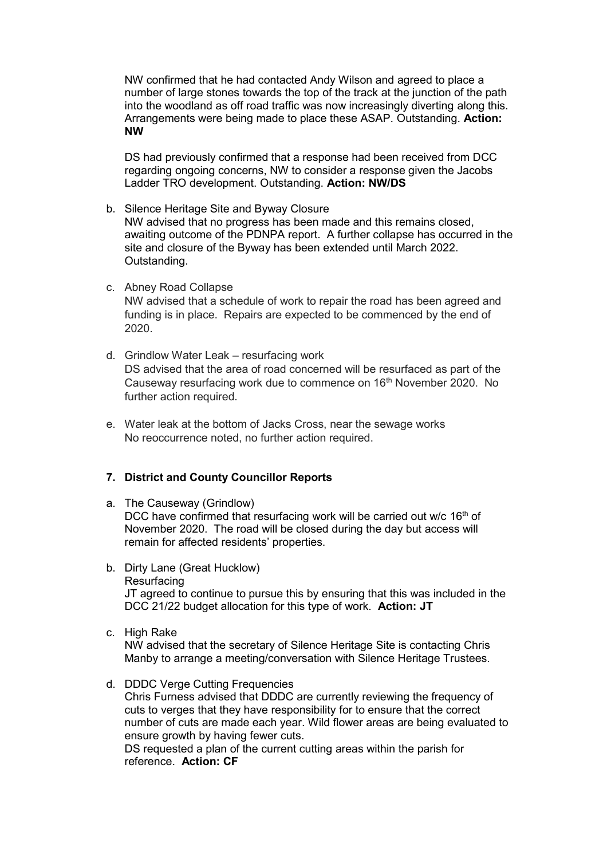NW confirmed that he had contacted Andy Wilson and agreed to place a number of large stones towards the top of the track at the junction of the path into the woodland as off road traffic was now increasingly diverting along this. Arrangements were being made to place these ASAP. Outstanding. **Action: NW**

DS had previously confirmed that a response had been received from DCC regarding ongoing concerns, NW to consider a response given the Jacobs Ladder TRO development. Outstanding. **Action: NW/DS**

- b. Silence Heritage Site and Byway Closure NW advised that no progress has been made and this remains closed, awaiting outcome of the PDNPA report. A further collapse has occurred in the site and closure of the Byway has been extended until March 2022. Outstanding.
- c. Abney Road Collapse NW advised that a schedule of work to repair the road has been agreed and funding is in place. Repairs are expected to be commenced by the end of 2020.
- d. Grindlow Water Leak resurfacing work DS advised that the area of road concerned will be resurfaced as part of the Causeway resurfacing work due to commence on 16<sup>th</sup> November 2020. No further action required.
- e. Water leak at the bottom of Jacks Cross, near the sewage works No reoccurrence noted, no further action required.

## **7. District and County Councillor Reports**

a. The Causeway (Grindlow)

DCC have confirmed that resurfacing work will be carried out w/c 16<sup>th</sup> of November 2020. The road will be closed during the day but access will remain for affected residents' properties.

- b. Dirty Lane (Great Hucklow) Resurfacing JT agreed to continue to pursue this by ensuring that this was included in the DCC 21/22 budget allocation for this type of work. **Action: JT**
- c. High Rake

NW advised that the secretary of Silence Heritage Site is contacting Chris Manby to arrange a meeting/conversation with Silence Heritage Trustees.

d. DDDC Verge Cutting Frequencies Chris Furness advised that DDDC are currently reviewing the frequency of cuts to verges that they have responsibility for to ensure that the correct number of cuts are made each year. Wild flower areas are being evaluated to ensure growth by having fewer cuts. DS requested a plan of the current cutting areas within the parish for reference. **Action: CF**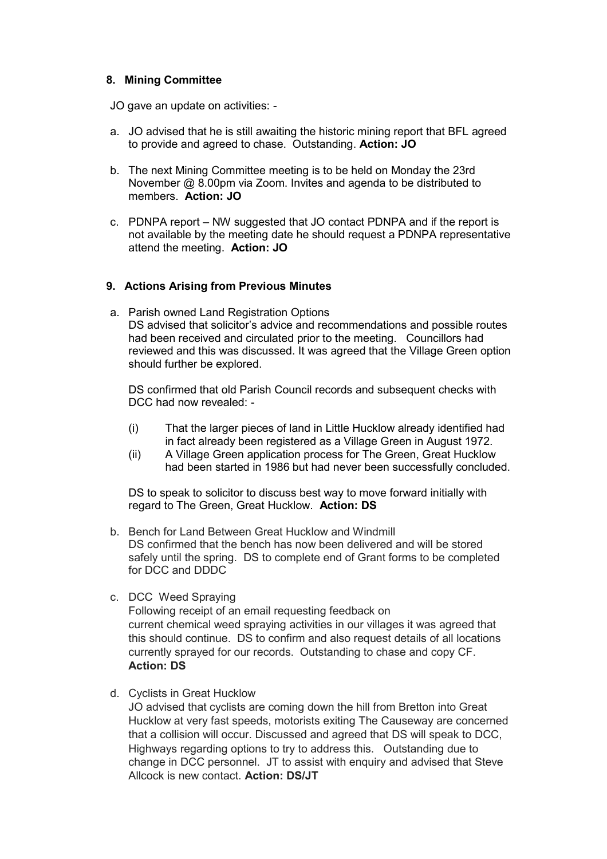### **8. Mining Committee**

JO gave an update on activities: -

- a. JO advised that he is still awaiting the historic mining report that BFL agreed to provide and agreed to chase. Outstanding. **Action: JO**
- b. The next Mining Committee meeting is to be held on Monday the 23rd November @ 8.00pm via Zoom. Invites and agenda to be distributed to members. **Action: JO**
- c. PDNPA report NW suggested that JO contact PDNPA and if the report is not available by the meeting date he should request a PDNPA representative attend the meeting. **Action: JO**

## **9. Actions Arising from Previous Minutes**

a. Parish owned Land Registration Options DS advised that solicitor's advice and recommendations and possible routes had been received and circulated prior to the meeting. Councillors had reviewed and this was discussed. It was agreed that the Village Green option should further be explored.

DS confirmed that old Parish Council records and subsequent checks with DCC had now revealed: -

- (i) That the larger pieces of land in Little Hucklow already identified had in fact already been registered as a Village Green in August 1972.
- (ii) A Village Green application process for The Green, Great Hucklow had been started in 1986 but had never been successfully concluded.

DS to speak to solicitor to discuss best way to move forward initially with regard to The Green, Great Hucklow. **Action: DS**

- b. Bench for Land Between Great Hucklow and Windmill DS confirmed that the bench has now been delivered and will be stored safely until the spring. DS to complete end of Grant forms to be completed for DCC and DDDC
- c. DCC Weed Spraying

Following receipt of an email requesting feedback on current chemical weed spraying activities in our villages it was agreed that this should continue. DS to confirm and also request details of all locations currently sprayed for our records. Outstanding to chase and copy CF. **Action: DS**

d. Cyclists in Great Hucklow

JO advised that cyclists are coming down the hill from Bretton into Great Hucklow at very fast speeds, motorists exiting The Causeway are concerned that a collision will occur. Discussed and agreed that DS will speak to DCC, Highways regarding options to try to address this. Outstanding due to change in DCC personnel. JT to assist with enquiry and advised that Steve Allcock is new contact. **Action: DS/JT**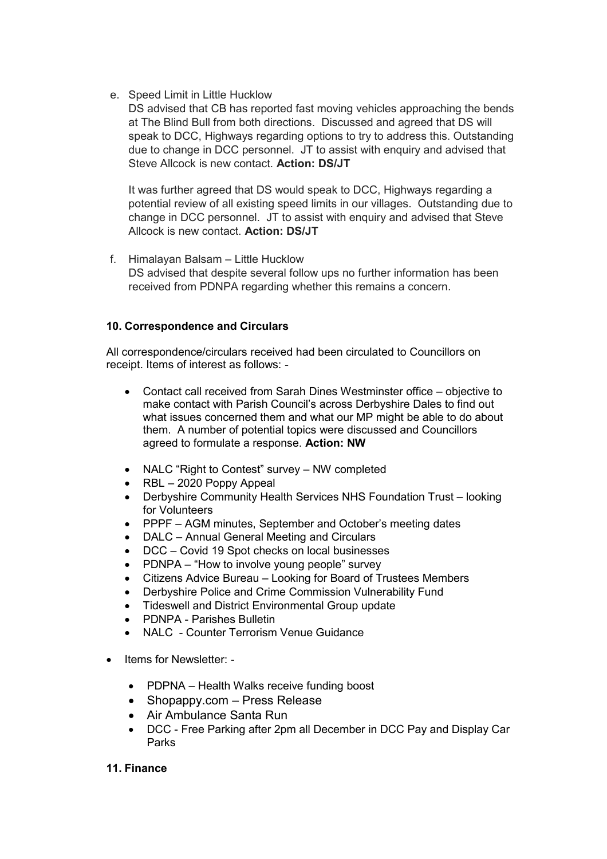e. Speed Limit in Little Hucklow

DS advised that CB has reported fast moving vehicles approaching the bends at The Blind Bull from both directions. Discussed and agreed that DS will speak to DCC, Highways regarding options to try to address this. Outstanding due to change in DCC personnel. JT to assist with enquiry and advised that Steve Allcock is new contact. **Action: DS/JT**

It was further agreed that DS would speak to DCC, Highways regarding a potential review of all existing speed limits in our villages. Outstanding due to change in DCC personnel. JT to assist with enquiry and advised that Steve Allcock is new contact. **Action: DS/JT**

f. Himalayan Balsam – Little Hucklow DS advised that despite several follow ups no further information has been received from PDNPA regarding whether this remains a concern.

# **10. Correspondence and Circulars**

All correspondence/circulars received had been circulated to Councillors on receipt. Items of interest as follows: -

- Contact call received from Sarah Dines Westminster office objective to make contact with Parish Council's across Derbyshire Dales to find out what issues concerned them and what our MP might be able to do about them. A number of potential topics were discussed and Councillors agreed to formulate a response. **Action: NW**
- NALC "Right to Contest" survey NW completed
- RBL 2020 Poppy Appeal
- Derbyshire Community Health Services NHS Foundation Trust looking for Volunteers
- PPPF AGM minutes, September and October's meeting dates
- DALC Annual General Meeting and Circulars
- DCC Covid 19 Spot checks on local businesses
- PDNPA "How to involve young people" survey
- Citizens Advice Bureau Looking for Board of Trustees Members
- Derbyshire Police and Crime Commission Vulnerability Fund
- Tideswell and District Environmental Group update
- PDNPA Parishes Bulletin
- NALC Counter Terrorism Venue Guidance
- Items for Newsletter:
	- PDPNA Health Walks receive funding boost
	- Shopappy.com Press Release
	- Air Ambulance Santa Run
	- DCC Free Parking after 2pm all December in DCC Pay and Display Car Parks

## **11. Finance**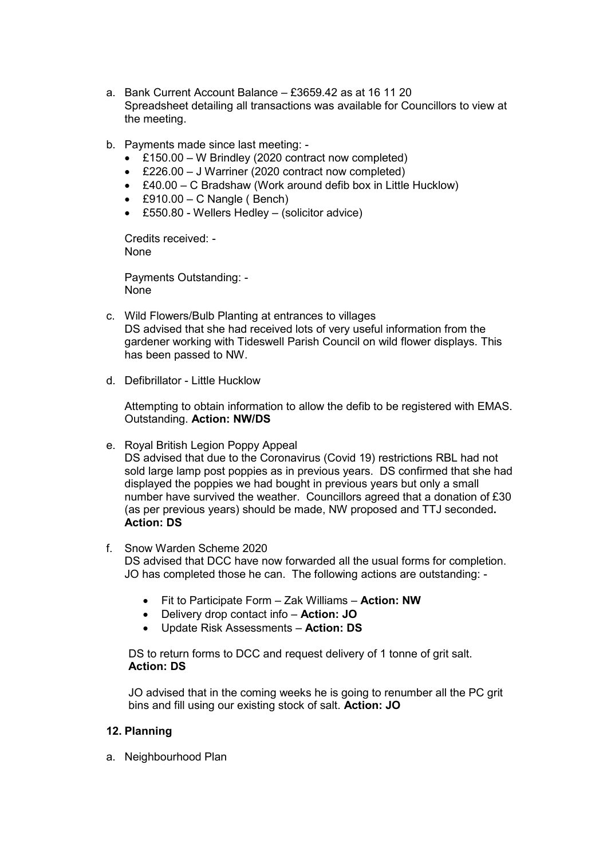- a. Bank Current Account Balance £3659.42 as at 16 11 20 Spreadsheet detailing all transactions was available for Councillors to view at the meeting.
- b. Payments made since last meeting:
	- £150.00 W Brindley (2020 contract now completed)
	- £226.00 J Warriner (2020 contract now completed)
	- £40.00 C Bradshaw (Work around defib box in Little Hucklow)
	- $\cdot$  £910.00 C Nangle (Bench)
	- £550.80 Wellers Hedley (solicitor advice)

Credits received: - None

Payments Outstanding: - None

- c. Wild Flowers/Bulb Planting at entrances to villages DS advised that she had received lots of very useful information from the gardener working with Tideswell Parish Council on wild flower displays. This has been passed to NW.
- d. Defibrillator Little Hucklow

Attempting to obtain information to allow the defib to be registered with EMAS. Outstanding. **Action: NW/DS**

e. Royal British Legion Poppy Appeal

DS advised that due to the Coronavirus (Covid 19) restrictions RBL had not sold large lamp post poppies as in previous years. DS confirmed that she had displayed the poppies we had bought in previous years but only a small number have survived the weather. Councillors agreed that a donation of £30 (as per previous years) should be made, NW proposed and TTJ seconded**. Action: DS**

- f. Snow Warden Scheme 2020 DS advised that DCC have now forwarded all the usual forms for completion. JO has completed those he can. The following actions are outstanding: -
	- Fit to Participate Form Zak Williams **Action: NW**
	- Delivery drop contact info **Action: JO**
	- Update Risk Assessments **Action: DS**

DS to return forms to DCC and request delivery of 1 tonne of grit salt. **Action: DS** 

JO advised that in the coming weeks he is going to renumber all the PC grit bins and fill using our existing stock of salt. **Action: JO** 

## **12. Planning**

a. Neighbourhood Plan